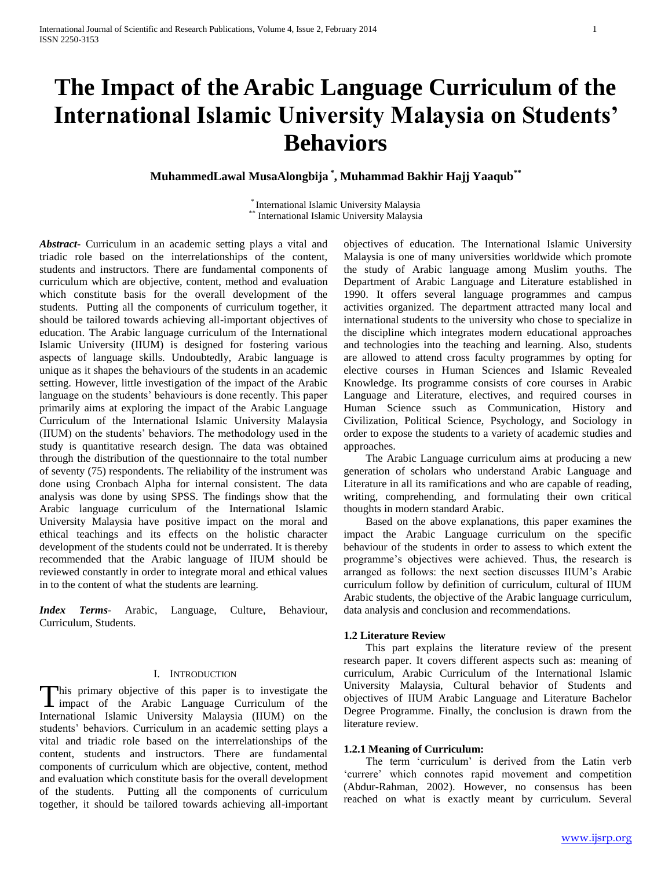# **The Impact of the Arabic Language Curriculum of the International Islamic University Malaysia on Students' Behaviors**

**MuhammedLawal MusaAlongbija \* , Muhammad Bakhir Hajj Yaaqub\*\***

\* International Islamic University Malaysia  $*$  International Islamic University Malaysia

*Abstract***-** Curriculum in an academic setting plays a vital and triadic role based on the interrelationships of the content, students and instructors. There are fundamental components of curriculum which are objective, content, method and evaluation which constitute basis for the overall development of the students. Putting all the components of curriculum together, it should be tailored towards achieving all-important objectives of education. The Arabic language curriculum of the International Islamic University (IIUM) is designed for fostering various aspects of language skills. Undoubtedly, Arabic language is unique as it shapes the behaviours of the students in an academic setting. However, little investigation of the impact of the Arabic language on the students' behaviours is done recently. This paper primarily aims at exploring the impact of the Arabic Language Curriculum of the International Islamic University Malaysia (IIUM) on the students' behaviors. The methodology used in the study is quantitative research design. The data was obtained through the distribution of the questionnaire to the total number of seventy (75) respondents. The reliability of the instrument was done using Cronbach Alpha for internal consistent. The data analysis was done by using SPSS. The findings show that the Arabic language curriculum of the International Islamic University Malaysia have positive impact on the moral and ethical teachings and its effects on the holistic character development of the students could not be underrated. It is thereby recommended that the Arabic language of IIUM should be reviewed constantly in order to integrate moral and ethical values in to the content of what the students are learning.

*Index Terms*- Arabic, Language, Culture, Behaviour, Curriculum, Students.

## I. INTRODUCTION

his primary objective of this paper is to investigate the This primary objective of this paper is to investigate the impact of the Arabic Language Curriculum of the International Islamic University Malaysia (IIUM) on the students' behaviors. Curriculum in an academic setting plays a vital and triadic role based on the interrelationships of the content, students and instructors. There are fundamental components of curriculum which are objective, content, method and evaluation which constitute basis for the overall development of the students. Putting all the components of curriculum together, it should be tailored towards achieving all-important

objectives of education. The International Islamic University Malaysia is one of many universities worldwide which promote the study of Arabic language among Muslim youths. The Department of Arabic Language and Literature established in 1990. It offers several language programmes and campus activities organized. The department attracted many local and international students to the university who chose to specialize in the discipline which integrates modern educational approaches and technologies into the teaching and learning. Also, students are allowed to attend cross faculty programmes by opting for elective courses in Human Sciences and Islamic Revealed Knowledge. Its programme consists of core courses in Arabic Language and Literature, electives, and required courses in Human Science ssuch as Communication, History and Civilization, Political Science, Psychology, and Sociology in order to expose the students to a variety of academic studies and approaches.

 The Arabic Language curriculum aims at producing a new generation of scholars who understand Arabic Language and Literature in all its ramifications and who are capable of reading, writing, comprehending, and formulating their own critical thoughts in modern standard Arabic.

 Based on the above explanations, this paper examines the impact the Arabic Language curriculum on the specific behaviour of the students in order to assess to which extent the programme's objectives were achieved. Thus, the research is arranged as follows: the next section discusses IIUM's Arabic curriculum follow by definition of curriculum, cultural of IIUM Arabic students, the objective of the Arabic language curriculum, data analysis and conclusion and recommendations.

## **1.2 Literature Review**

 This part explains the literature review of the present research paper. It covers different aspects such as: meaning of curriculum, Arabic Curriculum of the International Islamic University Malaysia, Cultural behavior of Students and objectives of IIUM Arabic Language and Literature Bachelor Degree Programme. Finally, the conclusion is drawn from the literature review.

### **1.2.1 Meaning of Curriculum:**

 The term 'curriculum' is derived from the Latin verb 'currere' which connotes rapid movement and competition (Abdur-Rahman, 2002). However, no consensus has been reached on what is exactly meant by curriculum. Several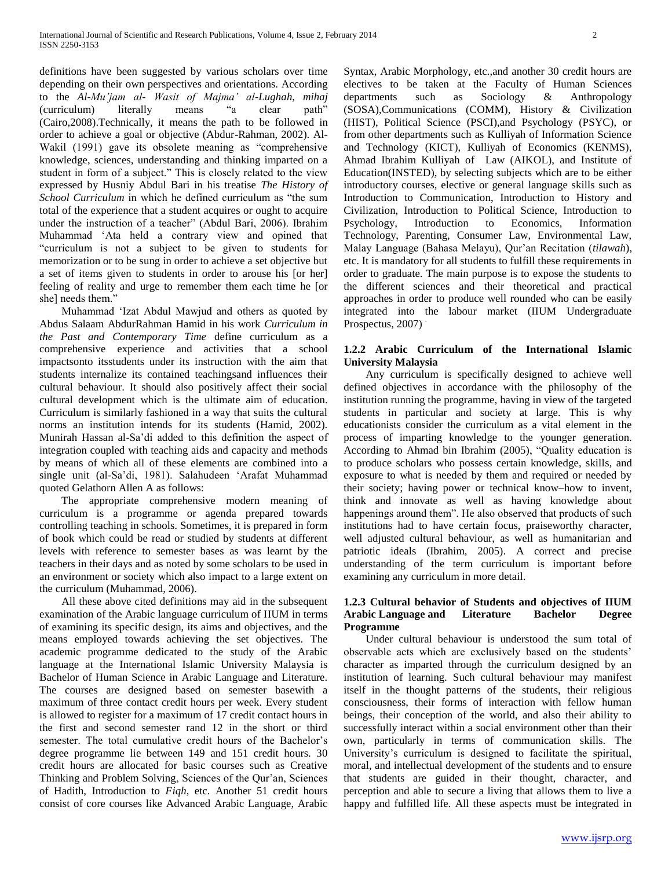definitions have been suggested by various scholars over time depending on their own perspectives and orientations. According to the *Al-Mu'jam al- Wasit of Majma' al-Lughah*, *mihaj* (curriculum) literally means "a clear path" (Cairo,2008).Technically, it means the path to be followed in order to achieve a goal or objective (Abdur-Rahman, 2002). Al-Wakil (1991) gave its obsolete meaning as "comprehensive knowledge, sciences, understanding and thinking imparted on a student in form of a subject." This is closely related to the view expressed by Husniy Abdul Bari in his treatise *The History of School Curriculum* in which he defined curriculum as "the sum total of the experience that a student acquires or ought to acquire under the instruction of a teacher" (Abdul Bari, 2006). Ibrahim Muhammad 'Ata held a contrary view and opined that "curriculum is not a subject to be given to students for memorization or to be sung in order to achieve a set objective but a set of items given to students in order to arouse his [or her] feeling of reality and urge to remember them each time he [or shel needs them."

 Muhammad 'Izat Abdul Mawjud and others as quoted by Abdus Salaam AbdurRahman Hamid in his work *Curriculum in the Past and Contemporary Time* define curriculum as a comprehensive experience and activities that a school impactsonto itsstudents under its instruction with the aim that students internalize its contained teachingsand influences their cultural behaviour. It should also positively affect their social cultural development which is the ultimate aim of education. Curriculum is similarly fashioned in a way that suits the cultural norms an institution intends for its students (Hamid, 2002). Munirah Hassan al-Sa'di added to this definition the aspect of integration coupled with teaching aids and capacity and methods by means of which all of these elements are combined into a single unit (al-Sa'di, 1981). Salahudeen 'Arafat Muhammad quoted Gelathorn Allen A as follows:

 The appropriate comprehensive modern meaning of curriculum is a programme or agenda prepared towards controlling teaching in schools. Sometimes, it is prepared in form of book which could be read or studied by students at different levels with reference to semester bases as was learnt by the teachers in their days and as noted by some scholars to be used in an environment or society which also impact to a large extent on the curriculum (Muhammad, 2006).

 All these above cited definitions may aid in the subsequent examination of the Arabic language curriculum of IIUM in terms of examining its specific design, its aims and objectives, and the means employed towards achieving the set objectives. The academic programme dedicated to the study of the Arabic language at the International Islamic University Malaysia is Bachelor of Human Science in Arabic Language and Literature. The courses are designed based on semester basewith a maximum of three contact credit hours per week. Every student is allowed to register for a maximum of 17 credit contact hours in the first and second semester rand 12 in the short or third semester. The total cumulative credit hours of the Bachelor's degree programme lie between 149 and 151 credit hours. 30 credit hours are allocated for basic courses such as Creative Thinking and Problem Solving, Sciences of the Qur'an, Sciences of Hadith, Introduction to *Fiqh*, etc. Another 51 credit hours consist of core courses like Advanced Arabic Language, Arabic Syntax, Arabic Morphology, etc.,and another 30 credit hours are electives to be taken at the Faculty of Human Sciences departments such as Sociology & Anthropology (SOSA),Communications (COMM), History & Civilization (HIST), Political Science (PSCI),and Psychology (PSYC), or from other departments such as Kulliyah of Information Science and Technology (KICT), Kulliyah of Economics (KENMS), Ahmad Ibrahim Kulliyah of Law (AIKOL), and Institute of Education(INSTED), by selecting subjects which are to be either introductory courses, elective or general language skills such as Introduction to Communication, Introduction to History and Civilization, Introduction to Political Science, Introduction to Psychology, Introduction to Economics, Information Technology, Parenting, Consumer Law, Environmental Law, Malay Language (Bahasa Melayu), Qur'an Recitation (*tilawah*), etc. It is mandatory for all students to fulfill these requirements in order to graduate. The main purpose is to expose the students to the different sciences and their theoretical and practical approaches in order to produce well rounded who can be easily integrated into the labour market (IIUM Undergraduate Prospectus, 2007).

# **1.2.2 Arabic Curriculum of the International Islamic University Malaysia**

 Any curriculum is specifically designed to achieve well defined objectives in accordance with the philosophy of the institution running the programme, having in view of the targeted students in particular and society at large. This is why educationists consider the curriculum as a vital element in the process of imparting knowledge to the younger generation. According to Ahmad bin Ibrahim (2005), "Quality education is to produce scholars who possess certain knowledge, skills, and exposure to what is needed by them and required or needed by their society; having power or technical know–how to invent, think and innovate as well as having knowledge about happenings around them". He also observed that products of such institutions had to have certain focus, praiseworthy character, well adjusted cultural behaviour, as well as humanitarian and patriotic ideals (Ibrahim, 2005). A correct and precise understanding of the term curriculum is important before examining any curriculum in more detail.

# **1.2.3 Cultural behavior of Students and objectives of IIUM Arabic Language and Literature Bachelor Degree Programme**

 Under cultural behaviour is understood the sum total of observable acts which are exclusively based on the students' character as imparted through the curriculum designed by an institution of learning. Such cultural behaviour may manifest itself in the thought patterns of the students, their religious consciousness, their forms of interaction with fellow human beings, their conception of the world, and also their ability to successfully interact within a social environment other than their own, particularly in terms of communication skills. The University's curriculum is designed to facilitate the spiritual, moral, and intellectual development of the students and to ensure that students are guided in their thought, character, and perception and able to secure a living that allows them to live a happy and fulfilled life. All these aspects must be integrated in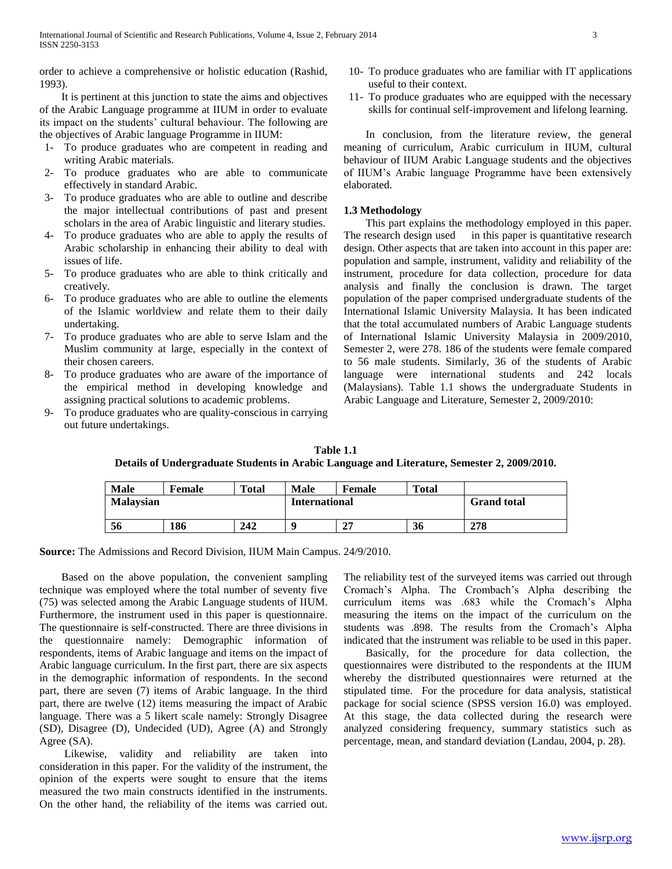order to achieve a comprehensive or holistic education (Rashid, 1993).

 It is pertinent at this junction to state the aims and objectives of the Arabic Language programme at IIUM in order to evaluate its impact on the students' cultural behaviour. The following are the objectives of Arabic language Programme in IIUM:

- 1- To produce graduates who are competent in reading and writing Arabic materials.
- 2- To produce graduates who are able to communicate effectively in standard Arabic.
- 3- To produce graduates who are able to outline and describe the major intellectual contributions of past and present scholars in the area of Arabic linguistic and literary studies.
- 4- To produce graduates who are able to apply the results of Arabic scholarship in enhancing their ability to deal with issues of life.
- 5- To produce graduates who are able to think critically and creatively.
- 6- To produce graduates who are able to outline the elements of the Islamic worldview and relate them to their daily undertaking.
- 7- To produce graduates who are able to serve Islam and the Muslim community at large, especially in the context of their chosen careers.
- 8- To produce graduates who are aware of the importance of the empirical method in developing knowledge and assigning practical solutions to academic problems.
- 9- To produce graduates who are quality-conscious in carrying out future undertakings.
- 10- To produce graduates who are familiar with IT applications useful to their context.
- 11- To produce graduates who are equipped with the necessary skills for continual self-improvement and lifelong learning.

 In conclusion, from the literature review, the general meaning of curriculum, Arabic curriculum in IIUM, cultural behaviour of IIUM Arabic Language students and the objectives of IIUM's Arabic language Programme have been extensively elaborated.

# **1.3 Methodology**

 This part explains the methodology employed in this paper. The research design used in this paper is quantitative research design. Other aspects that are taken into account in this paper are: population and sample, instrument, validity and reliability of the instrument, procedure for data collection, procedure for data analysis and finally the conclusion is drawn. The target population of the paper comprised undergraduate students of the International Islamic University Malaysia. It has been indicated that the total accumulated numbers of Arabic Language students of International Islamic University Malaysia in 2009/2010, Semester 2, were 278. 186 of the students were female compared to 56 male students. Similarly, 36 of the students of Arabic language were international students and 242 locals (Malaysians). Table 1.1 shows the undergraduate Students in Arabic Language and Literature, Semester 2, 2009/2010:

**Table 1.1 Details of Undergraduate Students in Arabic Language and Literature, Semester 2, 2009/2010.**

| <b>Male</b>      | <b>Female</b> | <b>Total</b> | <b>Male</b>          | <b>Female</b> | <b>Total</b> |                    |
|------------------|---------------|--------------|----------------------|---------------|--------------|--------------------|
| <b>Malaysian</b> |               |              | <b>International</b> |               |              | <b>Grand</b> total |
| 56               | 186           | 242          | Q                    | 27            | 36           | 278                |

**Source:** The Admissions and Record Division, IIUM Main Campus. 24/9/2010.

 Based on the above population, the convenient sampling technique was employed where the total number of seventy five (75) was selected among the Arabic Language students of IIUM. Furthermore, the instrument used in this paper is questionnaire. The questionnaire is self-constructed. There are three divisions in the questionnaire namely: Demographic information of respondents, items of Arabic language and items on the impact of Arabic language curriculum. In the first part, there are six aspects in the demographic information of respondents. In the second part, there are seven (7) items of Arabic language. In the third part, there are twelve (12) items measuring the impact of Arabic language. There was a 5 likert scale namely: Strongly Disagree (SD), Disagree (D), Undecided (UD), Agree (A) and Strongly Agree (SA).

 Likewise, validity and reliability are taken into consideration in this paper. For the validity of the instrument, the opinion of the experts were sought to ensure that the items measured the two main constructs identified in the instruments. On the other hand, the reliability of the items was carried out. The reliability test of the surveyed items was carried out through Cromach's Alpha. The Crombach's Alpha describing the curriculum items was .683 while the Cromach's Alpha measuring the items on the impact of the curriculum on the students was .898. The results from the Cromach's Alpha indicated that the instrument was reliable to be used in this paper.

 Basically, for the procedure for data collection, the questionnaires were distributed to the respondents at the IIUM whereby the distributed questionnaires were returned at the stipulated time. For the procedure for data analysis, statistical package for social science (SPSS version 16.0) was employed. At this stage, the data collected during the research were analyzed considering frequency, summary statistics such as percentage, mean, and standard deviation (Landau, 2004, p. 28).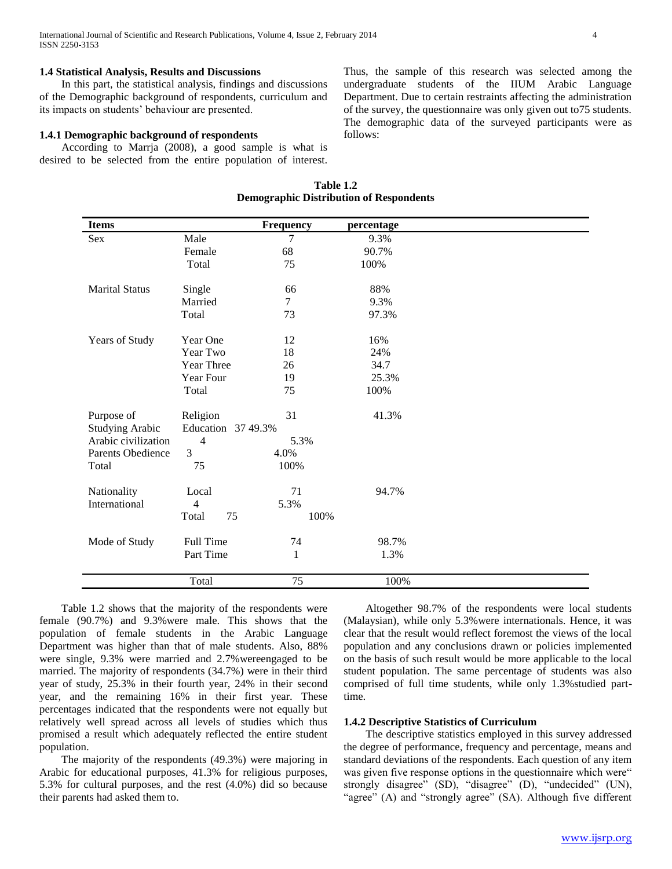# **1.4 Statistical Analysis, Results and Discussions**

 In this part, the statistical analysis, findings and discussions of the Demographic background of respondents, curriculum and its impacts on students' behaviour are presented.

#### **1.4.1 Demographic background of respondents**

 According to Marrja (2008), a good sample is what is desired to be selected from the entire population of interest. Thus, the sample of this research was selected among the undergraduate students of the IIUM Arabic Language Department. Due to certain restraints affecting the administration of the survey, the questionnaire was only given out to75 students. The demographic data of the surveyed participants were as follows:

| <b>Items</b>           |                    | Frequency | percentage |  |
|------------------------|--------------------|-----------|------------|--|
| Sex                    | Male               | 7         | 9.3%       |  |
|                        | Female             | 68        | 90.7%      |  |
|                        | Total              | 75        | 100%       |  |
| <b>Marital Status</b>  | Single             | 66        | 88%        |  |
|                        | Married            | 7         | 9.3%       |  |
|                        | Total              | 73        | 97.3%      |  |
| Years of Study         | Year One           | 12        | 16%        |  |
|                        | Year Two           | 18        | 24%        |  |
|                        | Year Three         | 26        | 34.7       |  |
|                        | Year Four          | 19        | 25.3%      |  |
|                        | Total              | 75        | 100%       |  |
| Purpose of             | Religion           | 31        | 41.3%      |  |
| <b>Studying Arabic</b> | Education 37 49.3% |           |            |  |
| Arabic civilization    | 4                  | 5.3%      |            |  |
| Parents Obedience      | 3                  | 4.0%      |            |  |
| Total                  | 75                 | 100%      |            |  |
| Nationality            | Local              | 71        | 94.7%      |  |
| International          | 4                  | 5.3%      |            |  |
|                        | Total<br>75        | 100%      |            |  |
| Mode of Study          | Full Time          | 74        | 98.7%      |  |
|                        | Part Time          | 1         | 1.3%       |  |
|                        | Total              | 75        | 100%       |  |

**Table 1.2 Demographic Distribution of Respondents**

 Table 1.2 shows that the majority of the respondents were female (90.7%) and 9.3%were male. This shows that the population of female students in the Arabic Language Department was higher than that of male students. Also, 88% were single, 9.3% were married and 2.7%wereengaged to be married. The majority of respondents (34.7%) were in their third year of study, 25.3% in their fourth year, 24% in their second year, and the remaining 16% in their first year. These percentages indicated that the respondents were not equally but relatively well spread across all levels of studies which thus promised a result which adequately reflected the entire student population.

 The majority of the respondents (49.3%) were majoring in Arabic for educational purposes, 41.3% for religious purposes, 5.3% for cultural purposes, and the rest (4.0%) did so because their parents had asked them to.

 Altogether 98.7% of the respondents were local students (Malaysian), while only 5.3%were internationals. Hence, it was clear that the result would reflect foremost the views of the local population and any conclusions drawn or policies implemented on the basis of such result would be more applicable to the local student population. The same percentage of students was also comprised of full time students, while only 1.3%studied parttime.

### **1.4.2 Descriptive Statistics of Curriculum**

 The descriptive statistics employed in this survey addressed the degree of performance, frequency and percentage, means and standard deviations of the respondents. Each question of any item was given five response options in the questionnaire which were" strongly disagree" (SD), "disagree" (D), "undecided" (UN), "agree" (A) and "strongly agree" (SA). Although five different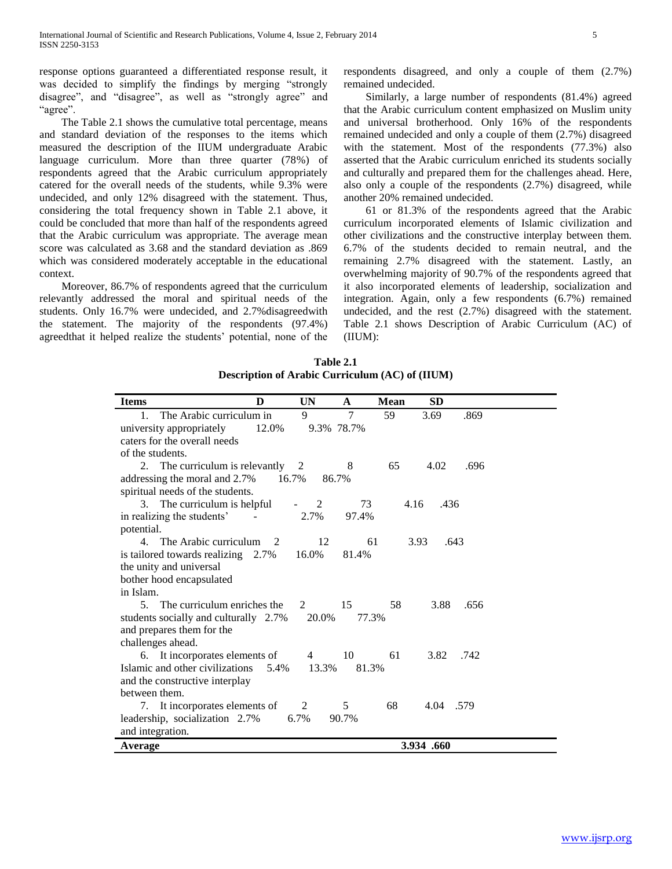response options guaranteed a differentiated response result, it was decided to simplify the findings by merging "strongly disagree", and "disagree", as well as "strongly agree" and "agree".

 The Table 2.1 shows the cumulative total percentage, means and standard deviation of the responses to the items which measured the description of the IIUM undergraduate Arabic language curriculum. More than three quarter (78%) of respondents agreed that the Arabic curriculum appropriately catered for the overall needs of the students, while 9.3% were undecided, and only 12% disagreed with the statement. Thus, considering the total frequency shown in Table 2.1 above, it could be concluded that more than half of the respondents agreed that the Arabic curriculum was appropriate. The average mean score was calculated as 3.68 and the standard deviation as .869 which was considered moderately acceptable in the educational context.

 Moreover, 86.7% of respondents agreed that the curriculum relevantly addressed the moral and spiritual needs of the students. Only 16.7% were undecided, and 2.7%disagreedwith the statement. The majority of the respondents (97.4%) agreedthat it helped realize the students' potential, none of the respondents disagreed, and only a couple of them (2.7%) remained undecided.

 Similarly, a large number of respondents (81.4%) agreed that the Arabic curriculum content emphasized on Muslim unity and universal brotherhood. Only 16% of the respondents remained undecided and only a couple of them (2.7%) disagreed with the statement. Most of the respondents (77.3%) also asserted that the Arabic curriculum enriched its students socially and culturally and prepared them for the challenges ahead. Here, also only a couple of the respondents (2.7%) disagreed, while another 20% remained undecided.

 61 or 81.3% of the respondents agreed that the Arabic curriculum incorporated elements of Islamic civilization and other civilizations and the constructive interplay between them. 6.7% of the students decided to remain neutral, and the remaining 2.7% disagreed with the statement. Lastly, an overwhelming majority of 90.7% of the respondents agreed that it also incorporated elements of leadership, socialization and integration. Again, only a few respondents (6.7%) remained undecided, and the rest (2.7%) disagreed with the statement. Table 2.1 shows Description of Arabic Curriculum (AC) of (IIUM):

| Table 2.1                                              |
|--------------------------------------------------------|
| <b>Description of Arabic Curriculum (AC) of (IIUM)</b> |

| <b>Items</b>                          | D              | <b>UN</b> | A          | <b>Mean</b> | <b>SD</b>    |      |
|---------------------------------------|----------------|-----------|------------|-------------|--------------|------|
| The Arabic curriculum in<br>$1_{-}$   |                | 9         | $\tau$     | 59          | 3.69         | .869 |
| university appropriately              | 12.0%          |           | 9.3% 78.7% |             |              |      |
| caters for the overall needs          |                |           |            |             |              |      |
| of the students.                      |                |           |            |             |              |      |
| 2. The curriculum is relevantly 2     |                |           | 8          | 65          | 4.02         | .696 |
| addressing the moral and 2.7%         | 16.7%          | 86.7%     |            |             |              |      |
| spiritual needs of the students.      |                |           |            |             |              |      |
| 3. The curriculum is helpful          |                | 2         | 73         | 4.16        | .436         |      |
| in realizing the students'            |                | 2.7%      | 97.4%      |             |              |      |
| potential.                            |                |           |            |             |              |      |
| 4. The Arabic curriculum              | $\overline{2}$ | 12        | 61         |             | 3.93<br>.643 |      |
| is tailored towards realizing 2.7%    |                | 16.0%     | 81.4%      |             |              |      |
| the unity and universal               |                |           |            |             |              |      |
| bother hood encapsulated              |                |           |            |             |              |      |
| in Islam.                             |                |           |            |             |              |      |
| The curriculum enriches the<br>5.     |                | 2         | 15         | 58          | 3.88         | .656 |
| students socially and culturally 2.7% |                | 20.0%     | 77.3%      |             |              |      |
| and prepares them for the             |                |           |            |             |              |      |
| challenges ahead.                     |                |           |            |             |              |      |
| 6. It incorporates elements of        |                | 4         | 10         | 61          | 3.82         | .742 |
| Islamic and other civilizations       | 5.4%           | 13.3%     | 81.3%      |             |              |      |
| and the constructive interplay        |                |           |            |             |              |      |
| between them.                         |                |           |            |             |              |      |
| 7. It incorporates elements of        |                | 2         | 5          | 68          | 4.04 .579    |      |
| leadership, socialization 2.7%        |                | 6.7%      | 90.7%      |             |              |      |
| and integration.                      |                |           |            |             |              |      |
| Average                               |                |           |            |             | 3.934.660    |      |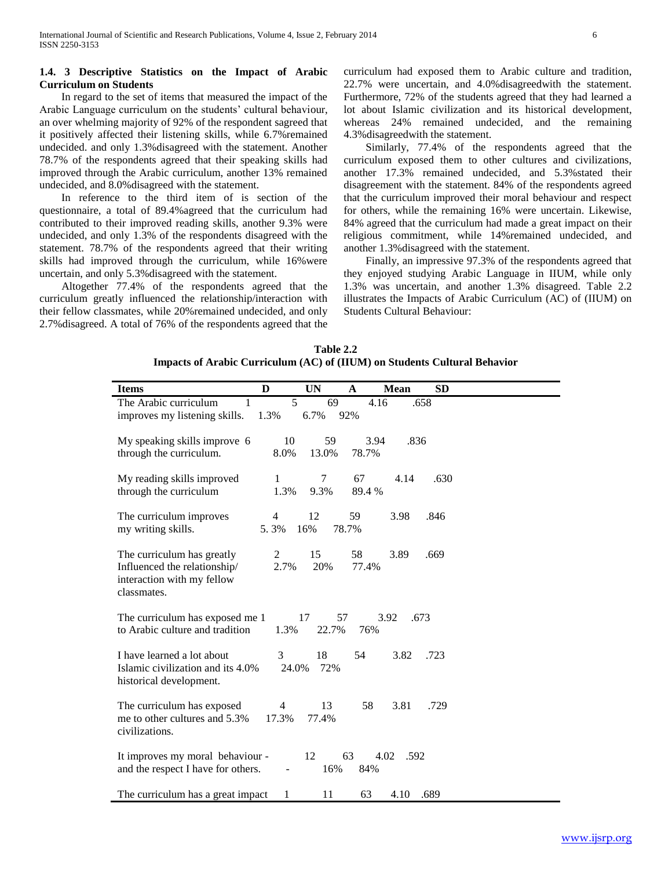# **1.4. 3 Descriptive Statistics on the Impact of Arabic Curriculum on Students**

 In regard to the set of items that measured the impact of the Arabic Language curriculum on the students' cultural behaviour, an over whelming majority of 92% of the respondent sagreed that it positively affected their listening skills, while 6.7%remained undecided. and only 1.3%disagreed with the statement. Another 78.7% of the respondents agreed that their speaking skills had improved through the Arabic curriculum, another 13% remained undecided, and 8.0%disagreed with the statement.

 In reference to the third item of is section of the questionnaire, a total of 89.4%agreed that the curriculum had contributed to their improved reading skills, another 9.3% were undecided, and only 1.3% of the respondents disagreed with the statement. 78.7% of the respondents agreed that their writing skills had improved through the curriculum, while 16%were uncertain, and only 5.3%disagreed with the statement.

 Altogether 77.4% of the respondents agreed that the curriculum greatly influenced the relationship/interaction with their fellow classmates, while 20%remained undecided, and only 2.7%disagreed. A total of 76% of the respondents agreed that the curriculum had exposed them to Arabic culture and tradition, 22.7% were uncertain, and 4.0%disagreedwith the statement. Furthermore, 72% of the students agreed that they had learned a lot about Islamic civilization and its historical development, whereas 24% remained undecided, and the remaining 4.3%disagreedwith the statement.

 Similarly, 77.4% of the respondents agreed that the curriculum exposed them to other cultures and civilizations, another 17.3% remained undecided, and 5.3%stated their disagreement with the statement. 84% of the respondents agreed that the curriculum improved their moral behaviour and respect for others, while the remaining 16% were uncertain. Likewise, 84% agreed that the curriculum had made a great impact on their religious commitment, while 14%remained undecided, and another 1.3%disagreed with the statement.

 Finally, an impressive 97.3% of the respondents agreed that they enjoyed studying Arabic Language in IIUM, while only 1.3% was uncertain, and another 1.3% disagreed. Table 2.2 illustrates the Impacts of Arabic Curriculum (AC) of (IIUM) on Students Cultural Behaviour:

| Table 2.2                                                                 |
|---------------------------------------------------------------------------|
| Impacts of Arabic Curriculum (AC) of (IIUM) on Students Cultural Behavior |

| <b>Items</b>                                                                                            | D          | <b>UN</b>         | $\mathbf A$   | Mean         | <b>SD</b> |  |
|---------------------------------------------------------------------------------------------------------|------------|-------------------|---------------|--------------|-----------|--|
| The Arabic curriculum<br>1<br>improves my listening skills.                                             | 5<br>1.3%  | 69<br>6.7%        | 4.16<br>92%   |              | .658      |  |
| My speaking skills improve 6<br>through the curriculum.                                                 | 10<br>8.0% | 59<br>13.0%       | 3.94<br>78.7% | .836         |           |  |
| My reading skills improved<br>through the curriculum                                                    | 1<br>1.3%  | 7<br>9.3%         | 67<br>89.4 %  | 4.14         | .630      |  |
| The curriculum improves<br>my writing skills.                                                           | 4<br>5.3%  | 12<br>16%         | 59<br>78.7%   | 3.98         | .846      |  |
| The curriculum has greatly<br>Influenced the relationship/<br>interaction with my fellow<br>classmates. | 2<br>2.7%  | 15<br>20%         | 58<br>77.4%   | 3.89         | .669      |  |
| The curriculum has exposed me 1<br>to Arabic culture and tradition                                      | 1.3%       | 17<br>57<br>22.7% | 76%           | 3.92         | .673      |  |
| I have learned a lot about<br>Islamic civilization and its 4.0%<br>historical development.              | 3<br>24.0% | 18<br>72%         | 54            | 3.82         | .723      |  |
| The curriculum has exposed<br>me to other cultures and 5.3%<br>civilizations.                           | 4<br>17.3% | 13<br>77.4%       | 58            | 3.81         | .729      |  |
| It improves my moral behaviour -<br>and the respect I have for others.                                  | ÷,         | 12<br>16%         | 63<br>84%     | 4.02<br>.592 |           |  |
| The curriculum has a great impact                                                                       | 1          | 11                | 63            | 4.10         | .689      |  |